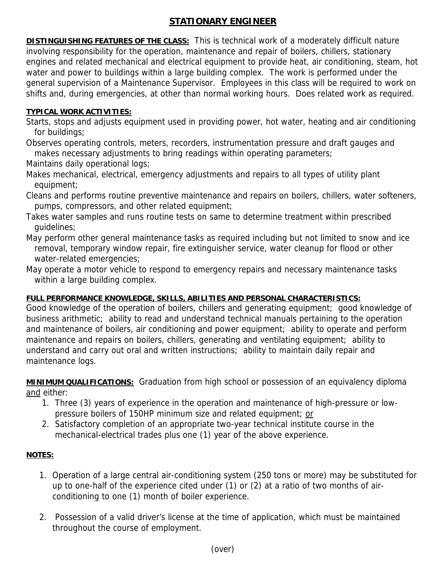## **STATIONARY ENGINEER**

**DISTINGUISHING FEATURES OF THE CLASS:** This is technical work of a moderately difficult nature involving responsibility for the operation, maintenance and repair of boilers, chillers, stationary engines and related mechanical and electrical equipment to provide heat, air conditioning, steam, hot water and power to buildings within a large building complex. The work is performed under the general supervision of a Maintenance Supervisor. Employees in this class will be required to work on shifts and, during emergencies, at other than normal working hours. Does related work as required.

## **TYPICAL WORK ACTIVITIES:**

- Starts, stops and adjusts equipment used in providing power, hot water, heating and air conditioning for buildings;
- Observes operating controls, meters, recorders, instrumentation pressure and draft gauges and makes necessary adjustments to bring readings within operating parameters;
- Maintains daily operational logs;
- Makes mechanical, electrical, emergency adjustments and repairs to all types of utility plant equipment;
- Cleans and performs routine preventive maintenance and repairs on boilers, chillers, water softeners, pumps, compressors, and other related equipment;
- Takes water samples and runs routine tests on same to determine treatment within prescribed guidelines;
- May perform other general maintenance tasks as required including but not limited to snow and ice removal, temporary window repair, fire extinguisher service, water cleanup for flood or other water-related emergencies;
- May operate a motor vehicle to respond to emergency repairs and necessary maintenance tasks within a large building complex.

## **FULL PERFORMANCE KNOWLEDGE, SKILLS, ABILITIES AND PERSONAL CHARACTERISTICS:**

Good knowledge of the operation of boilers, chillers and generating equipment; good knowledge of business arithmetic; ability to read and understand technical manuals pertaining to the operation and maintenance of boilers, air conditioning and power equipment; ability to operate and perform maintenance and repairs on boilers, chillers, generating and ventilating equipment; ability to understand and carry out oral and written instructions; ability to maintain daily repair and maintenance logs.

**MINIMUM QUALIFICATIONS:** Graduation from high school or possession of an equivalency diploma and either:

- 1. Three (3) years of experience in the operation and maintenance of high-pressure or lowpressure boilers of 150HP minimum size and related equipment; or
- 2. Satisfactory completion of an appropriate two-year technical institute course in the mechanical-electrical trades plus one (1) year of the above experience.

## **NOTES:**

- 1. Operation of a large central air-conditioning system (250 tons or more) may be substituted for up to one-half of the experience cited under (1) or (2) at a ratio of two months of airconditioning to one (1) month of boiler experience.
- 2. Possession of a valid driver's license at the time of application, which must be maintained throughout the course of employment.